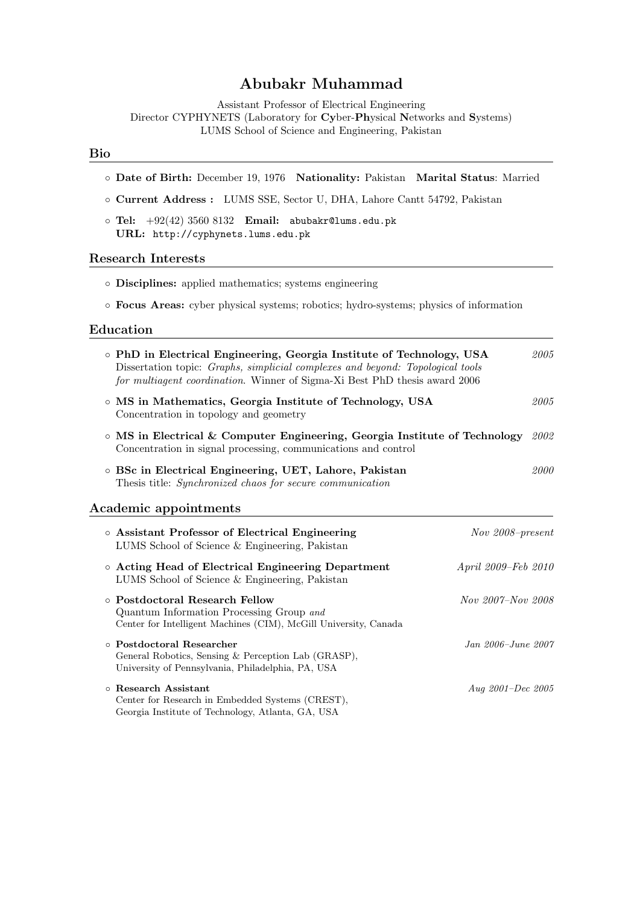# Abubakr Muhammad

Assistant Professor of Electrical Engineering Director CYPHYNETS (Laboratory for Cyber-Physical Networks and Systems) LUMS School of Science and Engineering, Pakistan

# Bio

| O Date of Birth: December 19, 1976 Nationality: Pakistan Marital Status: Married                                                                                                                                                      |                     |
|---------------------------------------------------------------------------------------------------------------------------------------------------------------------------------------------------------------------------------------|---------------------|
| o Current Address : LUMS SSE, Sector U, DHA, Lahore Cantt 54792, Pakistan                                                                                                                                                             |                     |
| $\circ$ Tel: $+92(42)$ 3560 8132 Email: abubakr@lums.edu.pk<br>URL: http://cyphynets.lums.edu.pk                                                                                                                                      |                     |
| <b>Research Interests</b>                                                                                                                                                                                                             |                     |
| • Disciplines: applied mathematics; systems engineering                                                                                                                                                                               |                     |
| • Focus Areas: cyber physical systems; robotics; hydro-systems; physics of information                                                                                                                                                |                     |
| Education                                                                                                                                                                                                                             |                     |
| o PhD in Electrical Engineering, Georgia Institute of Technology, USA<br>Dissertation topic: Graphs, simplicial complexes and beyond: Topological tools<br>for multiagent coordination. Winner of Sigma-Xi Best PhD thesis award 2006 | 2005                |
| o MS in Mathematics, Georgia Institute of Technology, USA<br>Concentration in topology and geometry                                                                                                                                   | 2005                |
| $\circ$ MS in Electrical & Computer Engineering, Georgia Institute of Technology<br>Concentration in signal processing, communications and control                                                                                    | 2002                |
| o BSc in Electrical Engineering, UET, Lahore, Pakistan<br>Thesis title: Synchronized chaos for secure communication                                                                                                                   | 2000                |
| Academic appointments                                                                                                                                                                                                                 |                     |
| o Assistant Professor of Electrical Engineering<br>LUMS School of Science & Engineering, Pakistan                                                                                                                                     | Nov 2008-present    |
| o Acting Head of Electrical Engineering Department<br>LUMS School of Science & Engineering, Pakistan                                                                                                                                  | April 2009–Feb 2010 |
| o Postdoctoral Research Fellow<br>Quantum Information Processing Group and<br>Center for Intelligent Machines (CIM), McGill University, Canada                                                                                        | Nov 2007–Nov 2008   |
| o Postdoctoral Researcher<br>General Robotics, Sensing & Perception Lab (GRASP),<br>University of Pennsylvania, Philadelphia, PA, USA                                                                                                 | Jan 2006-June 2007  |
| o Research Assistant<br>Center for Research in Embedded Systems (CREST),<br>Georgia Institute of Technology, Atlanta, GA, USA                                                                                                         | Aug 2001-Dec 2005   |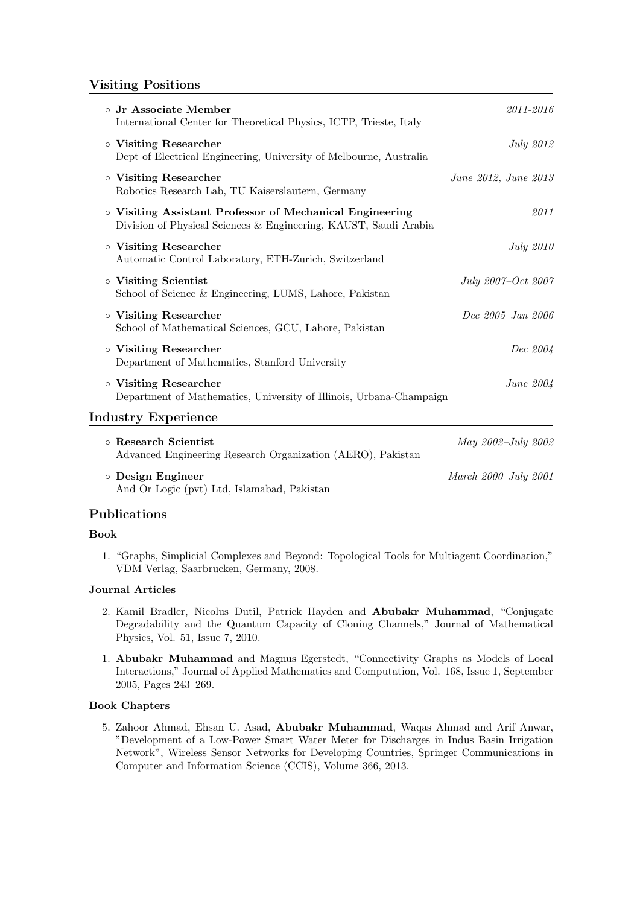# Visiting Positions

| o Jr Associate Member<br>International Center for Theoretical Physics, ICTP, Trieste, Italy                                  | 2011-2016            |
|------------------------------------------------------------------------------------------------------------------------------|----------------------|
| o Visiting Researcher<br>Dept of Electrical Engineering, University of Melbourne, Australia                                  | July 2012            |
| o Visiting Researcher<br>Robotics Research Lab, TU Kaiserslautern, Germany                                                   | June 2012, June 2013 |
| o Visiting Assistant Professor of Mechanical Engineering<br>Division of Physical Sciences & Engineering, KAUST, Saudi Arabia | 2011                 |
| o Visiting Researcher<br>Automatic Control Laboratory, ETH-Zurich, Switzerland                                               | July 2010            |
| o Visiting Scientist<br>School of Science & Engineering, LUMS, Lahore, Pakistan                                              | July 2007-Oct 2007   |
| o Visiting Researcher<br>School of Mathematical Sciences, GCU, Lahore, Pakistan                                              | Dec 2005-Jan 2006    |
| o Visiting Researcher<br>Department of Mathematics, Stanford University                                                      | Dec 2004             |
| o Visiting Researcher<br>Department of Mathematics, University of Illinois, Urbana-Champaign                                 | June 2004            |
| <b>Industry Experience</b>                                                                                                   |                      |
| o Research Scientist<br>Advanced Engineering Research Organization (AERO), Pakistan                                          | May 2002-July 2002   |
| o Design Engineer<br>And Or Logic (pvt) Ltd, Islamabad, Pakistan                                                             | March 2000-July 2001 |

# Publications

#### Book

1. "Graphs, Simplicial Complexes and Beyond: Topological Tools for Multiagent Coordination," VDM Verlag, Saarbrucken, Germany, 2008.

### Journal Articles

- 2. Kamil Bradler, Nicolus Dutil, Patrick Hayden and Abubakr Muhammad, "Conjugate Degradability and the Quantum Capacity of Cloning Channels," Journal of Mathematical Physics, Vol. 51, Issue 7, 2010.
- 1. Abubakr Muhammad and Magnus Egerstedt, "Connectivity Graphs as Models of Local Interactions," Journal of Applied Mathematics and Computation, Vol. 168, Issue 1, September 2005, Pages 243–269.

# Book Chapters

5. Zahoor Ahmad, Ehsan U. Asad, Abubakr Muhammad, Waqas Ahmad and Arif Anwar, "Development of a Low-Power Smart Water Meter for Discharges in Indus Basin Irrigation Network", Wireless Sensor Networks for Developing Countries, Springer Communications in Computer and Information Science (CCIS), Volume 366, 2013.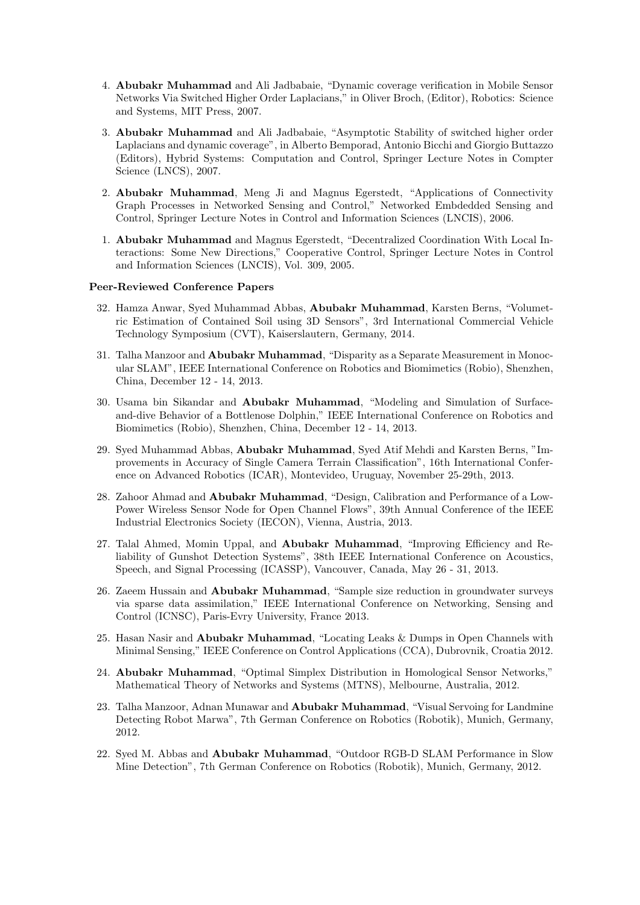- 4. Abubakr Muhammad and Ali Jadbabaie, "Dynamic coverage verification in Mobile Sensor Networks Via Switched Higher Order Laplacians," in Oliver Broch, (Editor), Robotics: Science and Systems, MIT Press, 2007.
- 3. Abubakr Muhammad and Ali Jadbabaie, "Asymptotic Stability of switched higher order Laplacians and dynamic coverage", in Alberto Bemporad, Antonio Bicchi and Giorgio Buttazzo (Editors), Hybrid Systems: Computation and Control, Springer Lecture Notes in Compter Science (LNCS), 2007.
- 2. Abubakr Muhammad, Meng Ji and Magnus Egerstedt, "Applications of Connectivity Graph Processes in Networked Sensing and Control," Networked Embdedded Sensing and Control, Springer Lecture Notes in Control and Information Sciences (LNCIS), 2006.
- 1. Abubakr Muhammad and Magnus Egerstedt, "Decentralized Coordination With Local Interactions: Some New Directions," Cooperative Control, Springer Lecture Notes in Control and Information Sciences (LNCIS), Vol. 309, 2005.

#### Peer-Reviewed Conference Papers

- 32. Hamza Anwar, Syed Muhammad Abbas, Abubakr Muhammad, Karsten Berns, "Volumetric Estimation of Contained Soil using 3D Sensors", 3rd International Commercial Vehicle Technology Symposium (CVT), Kaiserslautern, Germany, 2014.
- 31. Talha Manzoor and Abubakr Muhammad, "Disparity as a Separate Measurement in Monocular SLAM", IEEE International Conference on Robotics and Biomimetics (Robio), Shenzhen, China, December 12 - 14, 2013.
- 30. Usama bin Sikandar and Abubakr Muhammad, "Modeling and Simulation of Surfaceand-dive Behavior of a Bottlenose Dolphin," IEEE International Conference on Robotics and Biomimetics (Robio), Shenzhen, China, December 12 - 14, 2013.
- 29. Syed Muhammad Abbas, Abubakr Muhammad, Syed Atif Mehdi and Karsten Berns, "Improvements in Accuracy of Single Camera Terrain Classification", 16th International Conference on Advanced Robotics (ICAR), Montevideo, Uruguay, November 25-29th, 2013.
- 28. Zahoor Ahmad and Abubakr Muhammad, "Design, Calibration and Performance of a Low-Power Wireless Sensor Node for Open Channel Flows", 39th Annual Conference of the IEEE Industrial Electronics Society (IECON), Vienna, Austria, 2013.
- 27. Talal Ahmed, Momin Uppal, and Abubakr Muhammad, "Improving Efficiency and Reliability of Gunshot Detection Systems", 38th IEEE International Conference on Acoustics, Speech, and Signal Processing (ICASSP), Vancouver, Canada, May 26 - 31, 2013.
- 26. Zaeem Hussain and Abubakr Muhammad, "Sample size reduction in groundwater surveys via sparse data assimilation," IEEE International Conference on Networking, Sensing and Control (ICNSC), Paris-Evry University, France 2013.
- 25. Hasan Nasir and Abubakr Muhammad, "Locating Leaks & Dumps in Open Channels with Minimal Sensing," IEEE Conference on Control Applications (CCA), Dubrovnik, Croatia 2012.
- 24. Abubakr Muhammad, "Optimal Simplex Distribution in Homological Sensor Networks," Mathematical Theory of Networks and Systems (MTNS), Melbourne, Australia, 2012.
- 23. Talha Manzoor, Adnan Munawar and Abubakr Muhammad, "Visual Servoing for Landmine Detecting Robot Marwa", 7th German Conference on Robotics (Robotik), Munich, Germany, 2012.
- 22. Syed M. Abbas and Abubakr Muhammad, "Outdoor RGB-D SLAM Performance in Slow Mine Detection", 7th German Conference on Robotics (Robotik), Munich, Germany, 2012.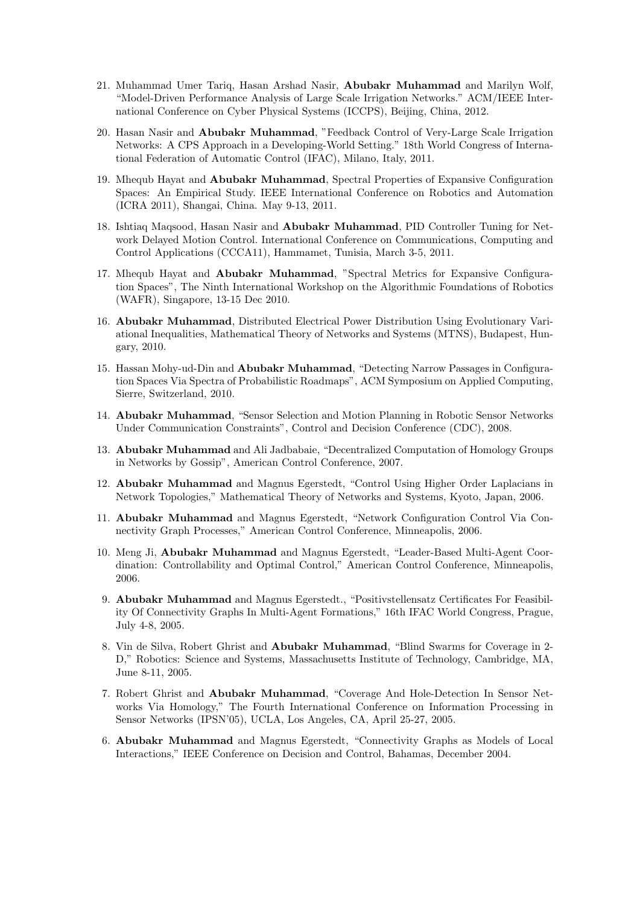- 21. Muhammad Umer Tariq, Hasan Arshad Nasir, Abubakr Muhammad and Marilyn Wolf, "Model-Driven Performance Analysis of Large Scale Irrigation Networks." ACM/IEEE International Conference on Cyber Physical Systems (ICCPS), Beijing, China, 2012.
- 20. Hasan Nasir and Abubakr Muhammad, "Feedback Control of Very-Large Scale Irrigation Networks: A CPS Approach in a Developing-World Setting." 18th World Congress of International Federation of Automatic Control (IFAC), Milano, Italy, 2011.
- 19. Mhequb Hayat and Abubakr Muhammad, Spectral Properties of Expansive Configuration Spaces: An Empirical Study. IEEE International Conference on Robotics and Automation (ICRA 2011), Shangai, China. May 9-13, 2011.
- 18. Ishtiaq Maqsood, Hasan Nasir and Abubakr Muhammad, PID Controller Tuning for Network Delayed Motion Control. International Conference on Communications, Computing and Control Applications (CCCA11), Hammamet, Tunisia, March 3-5, 2011.
- 17. Mhequb Hayat and Abubakr Muhammad, "Spectral Metrics for Expansive Configuration Spaces", The Ninth International Workshop on the Algorithmic Foundations of Robotics (WAFR), Singapore, 13-15 Dec 2010.
- 16. Abubakr Muhammad, Distributed Electrical Power Distribution Using Evolutionary Variational Inequalities, Mathematical Theory of Networks and Systems (MTNS), Budapest, Hungary, 2010.
- 15. Hassan Mohy-ud-Din and Abubakr Muhammad, "Detecting Narrow Passages in Configuration Spaces Via Spectra of Probabilistic Roadmaps", ACM Symposium on Applied Computing, Sierre, Switzerland, 2010.
- 14. Abubakr Muhammad, "Sensor Selection and Motion Planning in Robotic Sensor Networks Under Communication Constraints", Control and Decision Conference (CDC), 2008.
- 13. Abubakr Muhammad and Ali Jadbabaie, "Decentralized Computation of Homology Groups in Networks by Gossip", American Control Conference, 2007.
- 12. Abubakr Muhammad and Magnus Egerstedt, "Control Using Higher Order Laplacians in Network Topologies," Mathematical Theory of Networks and Systems, Kyoto, Japan, 2006.
- 11. Abubakr Muhammad and Magnus Egerstedt, "Network Configuration Control Via Connectivity Graph Processes," American Control Conference, Minneapolis, 2006.
- 10. Meng Ji, Abubakr Muhammad and Magnus Egerstedt, "Leader-Based Multi-Agent Coordination: Controllability and Optimal Control," American Control Conference, Minneapolis, 2006.
- 9. Abubakr Muhammad and Magnus Egerstedt., "Positivstellensatz Certificates For Feasibility Of Connectivity Graphs In Multi-Agent Formations," 16th IFAC World Congress, Prague, July 4-8, 2005.
- 8. Vin de Silva, Robert Ghrist and Abubakr Muhammad, "Blind Swarms for Coverage in 2- D," Robotics: Science and Systems, Massachusetts Institute of Technology, Cambridge, MA, June 8-11, 2005.
- 7. Robert Ghrist and Abubakr Muhammad, "Coverage And Hole-Detection In Sensor Networks Via Homology," The Fourth International Conference on Information Processing in Sensor Networks (IPSN'05), UCLA, Los Angeles, CA, April 25-27, 2005.
- 6. Abubakr Muhammad and Magnus Egerstedt, "Connectivity Graphs as Models of Local Interactions," IEEE Conference on Decision and Control, Bahamas, December 2004.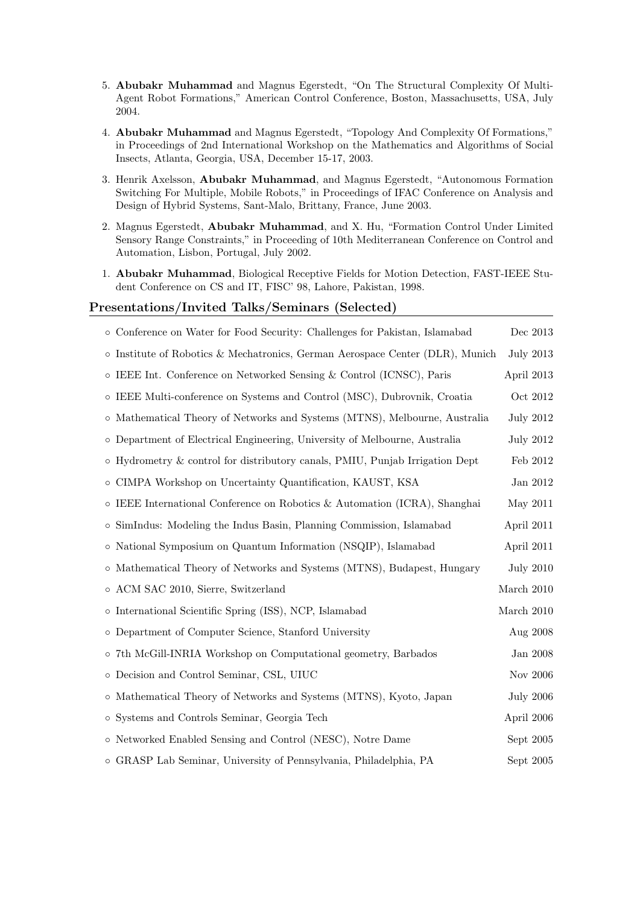- 5. Abubakr Muhammad and Magnus Egerstedt, "On The Structural Complexity Of Multi-Agent Robot Formations," American Control Conference, Boston, Massachusetts, USA, July 2004.
- 4. Abubakr Muhammad and Magnus Egerstedt, "Topology And Complexity Of Formations," in Proceedings of 2nd International Workshop on the Mathematics and Algorithms of Social Insects, Atlanta, Georgia, USA, December 15-17, 2003.
- 3. Henrik Axelsson, Abubakr Muhammad, and Magnus Egerstedt, "Autonomous Formation Switching For Multiple, Mobile Robots," in Proceedings of IFAC Conference on Analysis and Design of Hybrid Systems, Sant-Malo, Brittany, France, June 2003.
- 2. Magnus Egerstedt, Abubakr Muhammad, and X. Hu, "Formation Control Under Limited Sensory Range Constraints," in Proceeding of 10th Mediterranean Conference on Control and Automation, Lisbon, Portugal, July 2002.
- 1. Abubakr Muhammad, Biological Receptive Fields for Motion Detection, FAST-IEEE Student Conference on CS and IT, FISC' 98, Lahore, Pakistan, 1998.

### Presentations/Invited Talks/Seminars (Selected)

| o Conference on Water for Food Security: Challenges for Pakistan, Islamabad         | Dec 2013         |
|-------------------------------------------------------------------------------------|------------------|
| $\circ$ Institute of Robotics & Mechatronics, German Aerospace Center (DLR), Munich | <b>July 2013</b> |
| $\circ$ IEEE Int. Conference on Networked Sensing & Control (ICNSC), Paris          | April 2013       |
| o IEEE Multi-conference on Systems and Control (MSC), Dubrovnik, Croatia            | Oct 2012         |
| o Mathematical Theory of Networks and Systems (MTNS), Melbourne, Australia          | <b>July 2012</b> |
| o Department of Electrical Engineering, University of Melbourne, Australia          | <b>July 2012</b> |
| o Hydrometry & control for distributory canals, PMIU, Punjab Irrigation Dept        | Feb 2012         |
| o CIMPA Workshop on Uncertainty Quantification, KAUST, KSA                          | Jan 2012         |
| $\circ$ IEEE International Conference on Robotics & Automation (ICRA), Shanghai     | May 2011         |
| o SimIndus: Modeling the Indus Basin, Planning Commission, Islamabad                | April 2011       |
| o National Symposium on Quantum Information (NSQIP), Islamabad                      | April 2011       |
| o Mathematical Theory of Networks and Systems (MTNS), Budapest, Hungary             | <b>July 2010</b> |
| o ACM SAC 2010, Sierre, Switzerland                                                 | March $2010$     |
| o International Scientific Spring (ISS), NCP, Islamabad                             | March 2010       |
| o Department of Computer Science, Stanford University                               | Aug 2008         |
| o 7th McGill-INRIA Workshop on Computational geometry, Barbados                     | Jan 2008         |
| o Decision and Control Seminar, CSL, UIUC                                           | Nov 2006         |
| o Mathematical Theory of Networks and Systems (MTNS), Kyoto, Japan                  | <b>July 2006</b> |
| o Systems and Controls Seminar, Georgia Tech                                        | April 2006       |
| o Networked Enabled Sensing and Control (NESC), Notre Dame                          | Sept 2005        |
| o GRASP Lab Seminar, University of Pennsylvania, Philadelphia, PA                   | Sept 2005        |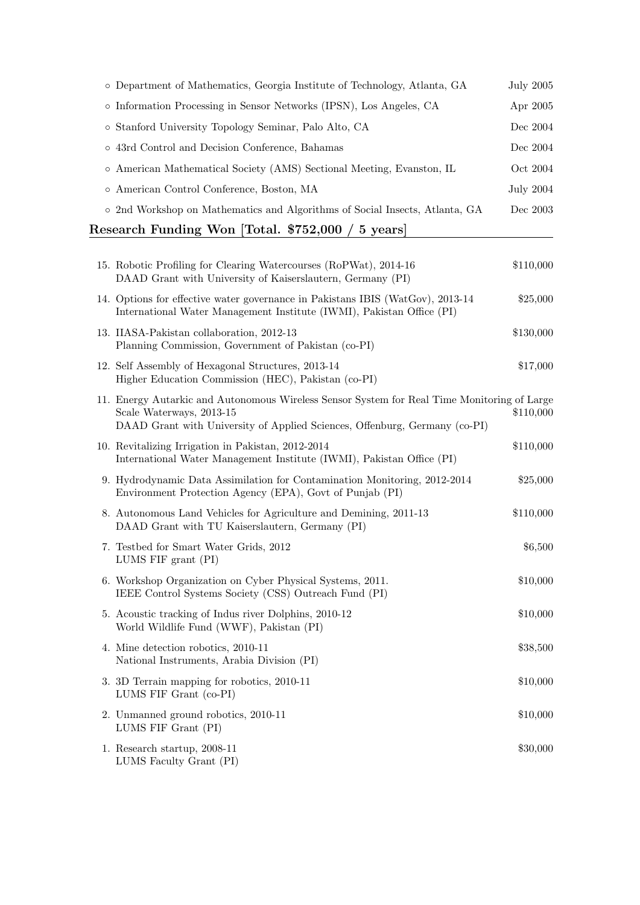| Research Funding Won [Total. \$752,000 / 5 years]                           |           |  |
|-----------------------------------------------------------------------------|-----------|--|
| o 2nd Workshop on Mathematics and Algorithms of Social Insects, Atlanta, GA | Dec 2003  |  |
| o American Control Conference, Boston, MA                                   | July 2004 |  |
| o American Mathematical Society (AMS) Sectional Meeting, Evanston, IL       | Oct 2004  |  |
| • 43rd Control and Decision Conference, Bahamas                             | Dec 2004  |  |
| o Stanford University Topology Seminar, Palo Alto, CA                       | Dec 2004  |  |
| o Information Processing in Sensor Networks (IPSN), Los Angeles, CA         | Apr 2005  |  |
| o Department of Mathematics, Georgia Institute of Technology, Atlanta, GA   | July 2005 |  |

| 15. Robotic Profiling for Clearing Watercourses (RoPWat), 2014-16<br>DAAD Grant with University of Kaiserslautern, Germany (PI)                                                                       | \$110,000 |
|-------------------------------------------------------------------------------------------------------------------------------------------------------------------------------------------------------|-----------|
| 14. Options for effective water governance in Pakistans IBIS (WatGov), 2013-14<br>International Water Management Institute (IWMI), Pakistan Office (PI)                                               | \$25,000  |
| 13. IIASA-Pakistan collaboration, 2012-13<br>Planning Commission, Government of Pakistan (co-PI)                                                                                                      | \$130,000 |
| 12. Self Assembly of Hexagonal Structures, 2013-14<br>Higher Education Commission (HEC), Pakistan (co-PI)                                                                                             | \$17,000  |
| 11. Energy Autarkic and Autonomous Wireless Sensor System for Real Time Monitoring of Large<br>Scale Waterways, 2013-15<br>DAAD Grant with University of Applied Sciences, Offenburg, Germany (co-PI) | \$110,000 |
| 10. Revitalizing Irrigation in Pakistan, 2012-2014<br>International Water Management Institute (IWMI), Pakistan Office (PI)                                                                           | \$110,000 |
| 9. Hydrodynamic Data Assimilation for Contamination Monitoring, 2012-2014<br>Environment Protection Agency (EPA), Govt of Punjab (PI)                                                                 | \$25,000  |
| 8. Autonomous Land Vehicles for Agriculture and Demining, 2011-13<br>DAAD Grant with TU Kaiserslautern, Germany (PI)                                                                                  | \$110,000 |
| 7. Testbed for Smart Water Grids, 2012<br>LUMS FIF grant (PI)                                                                                                                                         | \$6,500   |
| 6. Workshop Organization on Cyber Physical Systems, 2011.<br>IEEE Control Systems Society (CSS) Outreach Fund (PI)                                                                                    | \$10,000  |
| 5. Acoustic tracking of Indus river Dolphins, 2010-12<br>World Wildlife Fund (WWF), Pakistan (PI)                                                                                                     | \$10,000  |
| 4. Mine detection robotics, 2010-11<br>National Instruments, Arabia Division (PI)                                                                                                                     | \$38,500  |
| 3. 3D Terrain mapping for robotics, 2010-11<br>LUMS FIF Grant (co-PI)                                                                                                                                 | \$10,000  |
| 2. Unmanned ground robotics, 2010-11<br>LUMS FIF Grant (PI)                                                                                                                                           | \$10,000  |
| 1. Research startup, 2008-11<br>LUMS Faculty Grant (PI)                                                                                                                                               | \$30,000  |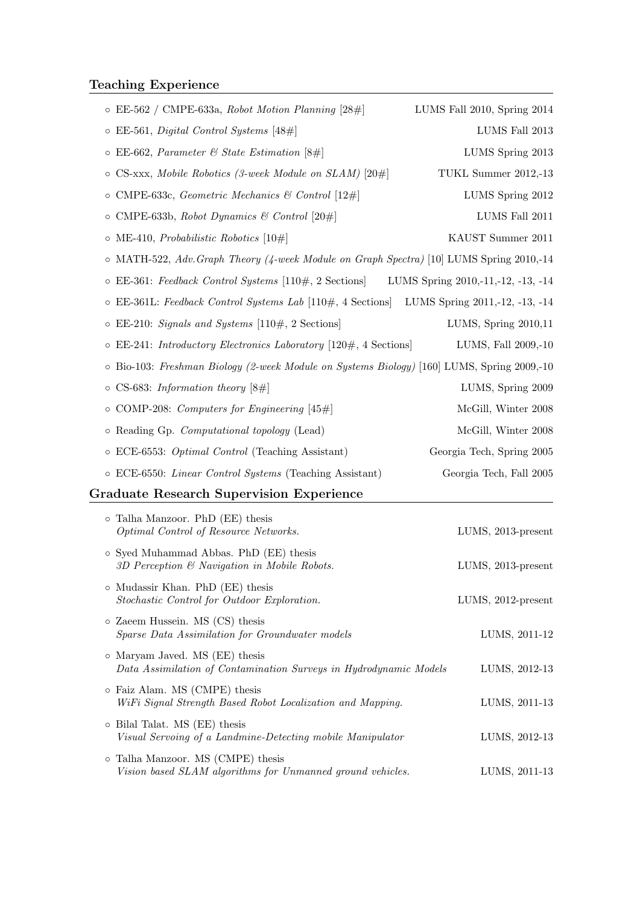# Teaching Experience

| $\circ$ EE-562 / CMPE-633a, Robot Motion Planning [28#]                                           | LUMS Fall 2010, Spring 2014        |
|---------------------------------------------------------------------------------------------------|------------------------------------|
| $\circ$ EE-561, <i>Digital Control Systems</i> [48#]                                              | LUMS Fall 2013                     |
| $\circ$ EE-662, Parameter & State Estimation [8#]                                                 | LUMS Spring 2013                   |
| $\circ$ CS-xxx, Mobile Robotics (3-week Module on SLAM) [20#]                                     | TUKL Summer 2012,-13               |
| $\circ$ CMPE-633c, Geometric Mechanics & Control [12#]                                            | LUMS Spring 2012                   |
| $\circ$ CMPE-633b, Robot Dynamics & Control [20#]                                                 | LUMS Fall 2011                     |
| $\circ$ ME-410, <i>Probabilistic Robotics</i> [10#]                                               | KAUST Summer 2011                  |
| $\circ$ MATH-522, Adv. Graph Theory (4-week Module on Graph Spectra) [10] LUMS Spring 2010,-14    |                                    |
| $\circ$ EE-361: Feedback Control Systems [110#, 2 Sections]                                       | LUMS Spring 2010,-11,-12, -13, -14 |
| $\circ$ EE-361L: Feedback Control Systems Lab [110#, 4 Sections] LUMS Spring 2011,-12, -13, -14   |                                    |
| $\circ$ EE-210: <i>Signals and Systems</i> [110#, 2 Sections]                                     | LUMS, Spring 2010,11               |
| $\circ$ EE-241: Introductory Electronics Laboratory [120#, 4 Sections]                            | LUMS, Fall 2009,-10                |
| o Bio-103: Freshman Biology (2-week Module on Systems Biology) [160] LUMS, Spring 2009,-10        |                                    |
| $\circ$ CS-683: Information theory [8#]                                                           | LUMS, Spring 2009                  |
| $\circ$ COMP-208: <i>Computers for Engineering</i> [45#]                                          | McGill, Winter 2008                |
| $\circ$ Reading Gp. <i>Computational topology</i> (Lead)                                          | McGill, Winter 2008                |
| $\circ$ ECE-6553: <i>Optimal Control</i> (Teaching Assistant)                                     | Georgia Tech, Spring 2005          |
| o ECE-6550: Linear Control Systems (Teaching Assistant)                                           | Georgia Tech, Fall 2005            |
| <b>Graduate Research Supervision Experience</b>                                                   |                                    |
| o Talha Manzoor. PhD (EE) thesis<br>Optimal Control of Resource Networks.                         | LUMS, 2013-present                 |
| o Syed Muhammad Abbas. PhD (EE) thesis<br>3D Perception $\mathcal C$ Navigation in Mobile Robots. | LUMS, 2013-present                 |
|                                                                                                   |                                    |

- Mudassir Khan. PhD (EE) thesis Stochastic Control for Outdoor Exploration. LUMS, 2012-present ◦ Zaeem Hussein. MS (CS) thesis Sparse Data Assimilation for Groundwater models LUMS, 2011-12
- Maryam Javed. MS (EE) thesis Data Assimilation of Contamination Surveys in Hydrodynamic Models LUMS, 2012-13 ◦ Faiz Alam. MS (CMPE) thesis WiFi Signal Strength Based Robot Localization and Mapping. LUMS, 2011-13
- Bilal Talat. MS (EE) thesis Visual Servoing of a Landmine-Detecting mobile Manipulator LUMS, 2012-13
- Talha Manzoor. MS (CMPE) thesis Vision based SLAM algorithms for Unmanned ground vehicles. LUMS, 2011-13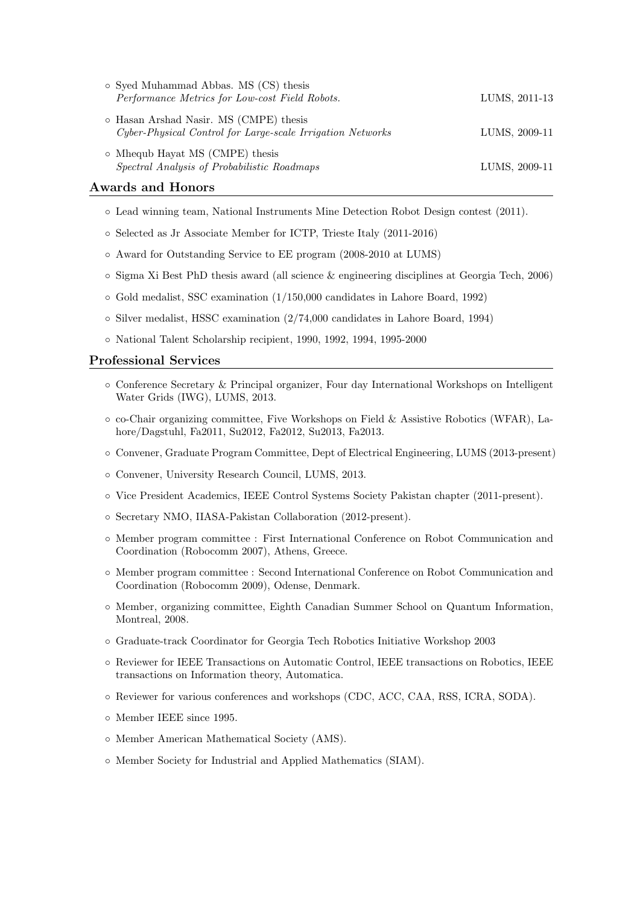| o Syed Muhammad Abbas. MS (CS) thesis<br>Performance Metrics for Low-cost Field Robots.              | LUMS, 2011-13 |
|------------------------------------------------------------------------------------------------------|---------------|
| o Hasan Arshad Nasir. MS (CMPE) thesis<br>Cyber-Physical Control for Large-scale Irrigation Networks | LUMS, 2009-11 |
| $\circ$ Mhequb Hayat MS (CMPE) thesis<br>Spectral Analysis of Probabilistic Roadmaps                 | LUMS, 2009-11 |

### Awards and Honors

- Lead winning team, National Instruments Mine Detection Robot Design contest (2011).
- Selected as Jr Associate Member for ICTP, Trieste Italy (2011-2016)
- Award for Outstanding Service to EE program (2008-2010 at LUMS)
- Sigma Xi Best PhD thesis award (all science & engineering disciplines at Georgia Tech, 2006)
- Gold medalist, SSC examination (1/150,000 candidates in Lahore Board, 1992)
- Silver medalist, HSSC examination (2/74,000 candidates in Lahore Board, 1994)
- National Talent Scholarship recipient, 1990, 1992, 1994, 1995-2000

### Professional Services

- Conference Secretary & Principal organizer, Four day International Workshops on Intelligent Water Grids (IWG), LUMS, 2013.
- co-Chair organizing committee, Five Workshops on Field & Assistive Robotics (WFAR), Lahore/Dagstuhl, Fa2011, Su2012, Fa2012, Su2013, Fa2013.
- Convener, Graduate Program Committee, Dept of Electrical Engineering, LUMS (2013-present)
- Convener, University Research Council, LUMS, 2013.
- Vice President Academics, IEEE Control Systems Society Pakistan chapter (2011-present).
- Secretary NMO, IIASA-Pakistan Collaboration (2012-present).
- Member program committee : First International Conference on Robot Communication and Coordination (Robocomm 2007), Athens, Greece.
- Member program committee : Second International Conference on Robot Communication and Coordination (Robocomm 2009), Odense, Denmark.
- Member, organizing committee, Eighth Canadian Summer School on Quantum Information, Montreal, 2008.
- Graduate-track Coordinator for Georgia Tech Robotics Initiative Workshop 2003
- Reviewer for IEEE Transactions on Automatic Control, IEEE transactions on Robotics, IEEE transactions on Information theory, Automatica.
- Reviewer for various conferences and workshops (CDC, ACC, CAA, RSS, ICRA, SODA).
- Member IEEE since 1995.
- Member American Mathematical Society (AMS).
- Member Society for Industrial and Applied Mathematics (SIAM).